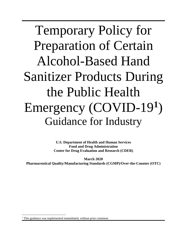Temporary Policy for Preparation of Certain Alcohol-Based Hand Sanitizer Products During the Public Health Emergency (COVID-19**[1](#page-0-0)** ) Guidance for Industry

> **U.S. Department of Health and Human Services Food and Drug Administration Center for Drug Evaluation and Research (CDER)**

**March 2020 Pharmaceutical Quality/Manufacturing Standards (CGMP)/Over-the-Counter (OTC)**

<span id="page-0-0"></span><sup>&</sup>lt;sup>1</sup> This guidance was implemented immediately without prior comment.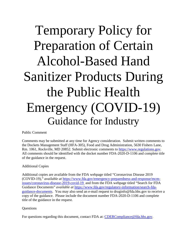# Temporary Policy for Preparation of Certain Alcohol-Based Hand Sanitizer Products During the Public Health Emergency (COVID-19) Guidance for Industry

Public Comment

Comments may be submitted at any time for Agency consideration. Submit written comments to the Dockets Management Staff (HFA-305), Food and Drug Administration, 5630 Fishers Lane, Rm. 1061, Rockville, MD 20852. Submit electronic comments to [https://www.regulations.gov.](https://www.regulations.gov/) All comments should be identified with the docket number FDA-2020-D-1106 and complete title of the guidance in the request.

## Additional Copies

Additional copies are available from the FDA webpage titled "Coronavirus Disease 2019 (COVID-19)," *available at* [https://www.fda.gov/emergency-preparedness-and-response/mcm](https://www.fda.gov/emergency-preparedness-and-response/mcm-issues/coronavirus-disease-2019-covid-19)[issues/coronavirus-disease-2019-covid-19](https://www.fda.gov/emergency-preparedness-and-response/mcm-issues/coronavirus-disease-2019-covid-19) and from the FDA webpage titled "Search for FDA Guidance Documents" *available at* [https://www.fda.gov/regulatory-information/search-fda](https://www.fda.gov/regulatory-information/search-fda-guidance-documents)[guidance-documents.](https://www.fda.gov/regulatory-information/search-fda-guidance-documents) You may also send an e-mail request to druginfo@fda.hhs.gov to receive a copy of the guidance. Please include the document number FDA-2020-D-1106 and complete title of the guidance in the request.

## **Questions**

For questions regarding this document, contact FDA at: [CDERCompliance@fda.hhs.gov.](mailto:CDERCompliance@fda.hhs.gov)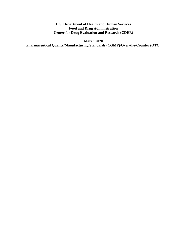**U.S. Department of Health and Human Services Food and Drug Administration Center for Drug Evaluation and Research (CDER)**

**March 2020 Pharmaceutical Quality/Manufacturing Standards (CGMP)/Over-the-Counter (OTC)**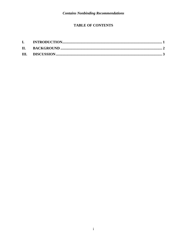# **TABLE OF CONTENTS**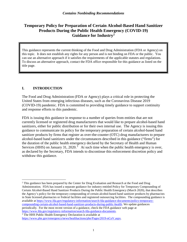# **Temporary Policy for Preparation of Certain Alcohol-Based Hand Sanitizer Products During the Public Health Emergency (COVID-19) Guidance for Industry[2](#page-4-1)**

This guidance represents the current thinking of the Food and Drug Administration (FDA or Agency) on this topic. It does not establish any rights for any person and is not binding on FDA or the public. You can use an alternative approach if it satisfies the requirements of the applicable statutes and regulations. To discuss an alternative approach, contact the FDA office responsible for this guidance as listed on the title page.

## <span id="page-4-0"></span>**I. INTRODUCTION**

The Food and Drug Administration (FDA or Agency) plays a critical role in protecting the United States from emerging infectious diseases, such as the Coronavirus Disease 2019 (COVID-19) pandemic. FDA is committed to providing timely guidance to support continuity and response efforts to this pandemic.

FDA is issuing this guidance in response to a number of queries from entities that are not currently licensed or registered drug manufacturers that would like to prepare alcohol-based hand sanitizers, either for public distribution or for their own internal use. The Agency is issuing this guidance to communicate its policy for the temporary preparation of certain alcohol-based hand sanitizer products by firms that register as over-the-counter (OTC) drug manufacturers to prepare alcohol-based hand sanitizers under the circumstances described in this guidance ("firms") for the duration of the public health emergency declared by the Secretary of Health and Human Services (HHS) on January [3](#page-4-2)1, 2020.<sup>3</sup> At such time when the public health emergency is over, as declared by the Secretary, FDA intends to discontinue this enforcement discretion policy and withdraw this guidance.

<span id="page-4-1"></span><sup>&</sup>lt;sup>2</sup> This guidance has been prepared by the Center for Drug Evaluation and Research at the Food and Drug Administration. FDA has issued a separate guidance for industry entitled Policy for Temporary Compounding of Certain Alcohol-Based Hand Sanitizer Products During the Public Health Emergency (March 2020), that describes the Agency's policy for the temporary compounding of certain alcohol-based hand sanitizer products by pharmacists in State licensed pharmacies or Federal facilities and registered outsourcing facilities. The compounding guidance is available at [https://www.fda.gov/regulatory-information/search-fda-guidance-documents/policy-temporary](https://www.fda.gov/regulatory-information/search-fda-guidance-documents/policy-temporary-compounding-certain-alcohol-based-hand-sanitizer-products-during-public-health)[compounding-certain-alcohol-based-hand-sanitizer-products-during-public-health.](https://www.fda.gov/regulatory-information/search-fda-guidance-documents/policy-temporary-compounding-certain-alcohol-based-hand-sanitizer-products-during-public-health) We update guidances periodically. For the most recent version of a guidance, check the FDA guidance web page at [https://www.fda.gov/regulatory-information/search-fda-guidance-documents.](https://www.fda.gov/regulatory-information/search-fda-guidance-documents)<br><sup>3</sup> The HHS Public Health Emergency Declaration is available at

<span id="page-4-2"></span>[https://www.phe.gov/emergency/news/healthactions/phe/Pages/2019-nCoV.aspx.](https://www.phe.gov/emergency/news/healthactions/phe/Pages/2019-nCoV.aspx)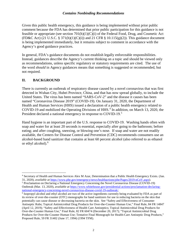#### *Contains Nonbinding Recommendations*

Given this public health emergency, this guidance is being implemented without prior public comment because the FDA has determined that prior public participation for this guidance is not feasible or appropriate (see section 701(h)(1)(C)(i) of the Federal Food, Drug, and Cosmetic Act (FD&C Act) (21 U.S.C. § 371(h)(1)(C)(i)) and 21 CFR § 10.115(g)(2)). This guidance document is being implemented immediately, but it remains subject to comment in accordance with the Agency's good guidance practices.

In general, FDA's guidance documents do not establish legally enforceable responsibilities. Instead, guidances describe the Agency's current thinking on a topic and should be viewed only as recommendations, unless specific regulatory or statutory requirements are cited. The use of the word *should* in Agency guidances means that something is suggested or recommended, but not required.

## <span id="page-5-0"></span>**II. BACKGROUND**

There is currently an outbreak of respiratory disease caused by a novel coronavirus that was first detected in Wuhan City, Hubei Province, China, and that has now spread globally, to include the United States. The virus has been named "SARS-CoV-2" and the disease it causes has been named "Coronavirus Disease 2019" (COVID-19). On January 31, 2020, the Department of Health and Human Services (HHS) issued a declaration of a public health emergency related to COVID-19 and mobilized the Operating Divisions of HHS.<sup>[4](#page-5-1)</sup> In addition, on March 13, 2020, the President declared a national emergency in response to COVID-19.<sup>[5](#page-5-2)</sup>

Hand hygiene is an important part of the U.S. response to COVID-19. Washing hands often with soap and water for at least 20 seconds is essential, especially after going to the bathroom; before eating; and after coughing, sneezing, or blowing one's nose. If soap and water are not readily available, the Centers for Disease Control and Prevention (CDC) recommends consumers use an alcohol-based hand sanitizer that contains at least 60 percent alcohol (also referred to as ethanol or ethyl alcohol). [6](#page-5-3)

<span id="page-5-1"></span><sup>&</sup>lt;sup>4</sup> Secretary of Health and Human Services Alex M Azar, Determination that a Public Health Emergency Exists. (Jan. 31, 2020), *available at* https://www.phe.gov/emergency/news/healthactions/phe/Pages/2019-nCoV.aspx).

<span id="page-5-2"></span><sup>&</sup>lt;sup>5</sup> Proclamation on Declaring a National Emergency Concerning the Novel Coronavirus Disease (COVID-19) Outbreak (Mar. 13, 2020), *available at* https://www.whitehouse.gov/presidential-actions/proclamation-declaring-<br>national-emergency-concerning-novel-coronavirus-disease-covid-19-outbreak/.

<span id="page-5-3"></span> $\delta$  Isopropyl alcohol and ethyl alcohol are two of the active ingredients currently being evaluated by FDA as part of its review of over-the-counter (OTC) monographs for hand sanitizers for use in reducing bacteria on the skin that potentially can cause disease or decreasing bacteria on the skin. See "Safety and Effectiveness of Consumer Antiseptic Rubs; Topical Antimicrobial Drug Products for Over-the-Counter Human Use," Final Rule, 84 FR 14847 (April 12, 2019); "Safety and Effectiveness of Health Care Antiseptics; Topical Antimicrobial Drug Products for Over-the-Counter Human Use," Final Rule, 82 FR 60474 (December 20, 2017); "Topical Antimicrobial Drug Products for Over-the-Counter Human Use; Tentative Final Monograph for Health-Care Antiseptic Drug Products," Proposed Rule, 59 FR 31402 (June 17, 1994) (1994 TFM).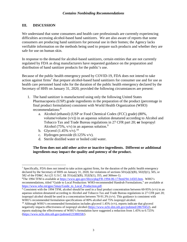## <span id="page-6-0"></span>**III. DISCUSSION**

We understand that some consumers and health care professionals are currently experiencing difficulties accessing alcohol-based hand sanitizers. We are also aware of reports that some consumers are producing hand sanitizers for personal use in their homes; the Agency lacks verifiable information on the methods being used to prepare such products and whether they are safe for use on human skin.

In response to the demand for alcohol-based sanitizers, certain entities that are not currently regulated by FDA as drug manufacturers have requested guidance on the preparation and distribution of hand sanitizer products for the public's use.

Because of the public health emergency posed by COVID-19, FDA does not intend to take action against firms<sup>[7](#page-6-1)</sup> that prepare alcohol-based hand sanitizers for consumer use and for use as health care personnel hand rubs for the duration of the public health emergency declared by the Secretary of HHS on January 31, 2020, provided the following circumstances are present:

- 1. The hand sanitizer is manufactured using only the following United States Pharmacopoeia (USP) grade ingredients in the preparation of the product (percentage in final product formulation) consistent with World Health Organization (WHO) recommendations:<sup>[8](#page-6-2)</sup>
	- a. Alcohol (ethanol) (USP or Food Chemical Codex (FCC) grade) (80%, volume/volume  $(v/v)$ ) in an aqueous solution denatured according to Alcohol and Tobacco Tax and Trade Bureau regulations in 27 CFR part 20; **or** Isopropyl Alcohol (75%,  $v/v$ ) in an aqueous solution.<sup>[9](#page-6-3)</sup>
	- b. Glycerol  $(1.45\% \text{ v/v})$ .<sup>[10](#page-6-4)</sup>
	- c. Hydrogen peroxide (0.125% v/v).
	- d. Sterile distilled water or boiled cold water.

**The firm does not add other active or inactive ingredients. Different or additional ingredients may impact the quality and potency of the product.**

<span id="page-6-1"></span><sup>&</sup>lt;sup>7</sup> Specifically, FDA does not intend to take action against firms, for the duration of the public health emergency declared by the Secretary of HHS on January 31, 2020, for violations of sections  $501(a)(2)(B)$ ,  $502(f)(1)$ ,  $505$ , or 582 of the FD&C Act (21 U.S.C. §§ 351(a)(2)(B), 352(f)(1), 355, and 360eee-1).

<span id="page-6-2"></span><sup>&</sup>lt;sup>8</sup>The 1994 TFM is available at [https://www.gpo.gov/fdsys/pkg/FR-1994-06-17/html/94-14503.htm.](https://www.gpo.gov/fdsys/pkg/FR-1994-06-17/html/94-14503.htm) WHO's recommendations, titled "Guide to Local Production: WHO-recommended Handrub Formulations," are available at [https://www.who.int/gpsc/5may/Guide\\_to\\_Local\\_Production.pdf.](https://www.who.int/gpsc/5may/Guide_to_Local_Production.pdf)  $\frac{9}{2}$ <br>Consistent with the 1994 TFM, alcohol should be used in a final product concentration between 60-95% (v/v) in an

<span id="page-6-3"></span>aqueous solution denatured according to Alcohol and Tobacco Tax and Trade Bureau regulations in 27 CFR part 20; isopropyl alcohol should be used in a concentration between 70-91.3%  $(v/v)$ . This guidance is consistent with WHO's recommended formulation specifications of 80% alcohol and 75% isopropyl alcohol.

<span id="page-6-4"></span><sup>&</sup>lt;sup>10</sup> Although WHO's recommended formulation includes glycerol 1.45% ( $v/v$ ), reports indicate that glycerol negatively impacts effectiveness of isopropyl alcohol [\(https://www.ncbi.nlm.nih.gov/pubmed/28670452\)](https://www.ncbi.nlm.nih.gov/pubmed/28670452), and reports studying the effectiveness of WHO's formulation have suggested a reduction from 1.45% to 0.725% [\(https://www.ncbi.nlm.nih.gov/pubmed/23388358/\)](https://www.ncbi.nlm.nih.gov/pubmed/23388358/).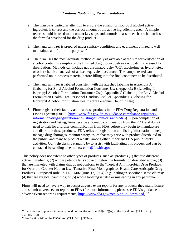#### *Contains Nonbinding Recommendations*

- 2. The firm pays particular attention to ensure the ethanol or isopropyl alcohol active ingredient is correct and the correct amount of the active ingredient is used. A simple record should be used to document key steps and controls to assure each batch matches the formula developed for the drug product.
- 3. The hand sanitizer is prepared under sanitary conditions and equipment utilized is well maintained and fit for this purpose.<sup>[11](#page-7-0)</sup>
- 4. The firm uses the most accurate method of analysis available at the site for verification of alcohol content in samples of the finished drug product before each batch is released for distribution. Methods can include gas chromatography (GC), alcoholmeter, hydrometer, or other chemical analysis of at least equivalent accuracy. The sample tested can be performed on in-process material before filling into the final containers to be distributed.
- 5. The hand sanitizer is labeled consistent with the attached labeling in Appendix A (Labeling for Ethyl Alcohol Formulation Consumer Use), Appendix B (Labeling for Isopropyl Alcohol Formulation Consumer Use), Appendix C (Labeling for Ethyl Alcohol Formulation Health Care Personnel Handrub Use), or Appendix D (Labeling for Isopropyl Alcohol Formulation Health Care Personnel Handrub Use).
- 6. Firms register their facility and list these products in the FDA Drug Registration and Listing System (DRLS, [https://www.fda.gov/drugs/guidance-compliance-regulatory](https://www.fda.gov/drugs/guidance-compliance-regulatory-information/drug-registration-and-listing-system-drls-and-edrls)[information/drug-registration-and-listing-system-drls-and-edrls\)](https://www.fda.gov/drugs/guidance-compliance-regulatory-information/drug-registration-and-listing-system-drls-and-edrls). Upon completion of registration and listing, firms receive automatic confirmation from the FDA and do not need to wait for a further communication from FDA before they begin to manufacture and distribute these products. FDA relies on registration and listing information to help manage drug shortages, monitor safety issues that may arise with product distributed to the public, and manage product recalls, among other important FDA public safety activities. Our help desk is standing by to assist with facilitating this process and can be contacted by sending an email to: [edrls@fda.hhs.gov.](mailto:edrls@fda.hhs.gov)

This policy does not extend to other types of products, such as: products (1) that use different active ingredients; (2) whose potency falls above or below the formulation described above; (3) that are marketed with claims that do not conform to the "Topical Antimicrobial Drug Products for Over-the-Counter Human Use; Tentative Final Monograph for Health-Care Antiseptic Drug Products," Proposed Rule, 59 FR 31402 (June 17, 1994) (e.g., pathogen-specific disease claims): (4) that are surgical hand rubs; or (5) whose labeling is false or misleading in any particular.

Firms will need to have a way to accept adverse event reports for any products they manufacture, and submit adverse event reports to FDA (for more information, please see FDA's guidance on adverse event reporting requirements, [https://www.fda.gov/media/77193/download\)](https://www.fda.gov/media/77193/download).<sup>[12](#page-7-1)</sup>

<span id="page-7-0"></span><sup>&</sup>lt;sup>11</sup> Facilities must prevent insanitary conditions under section 501(a)(2)(A) of the FD&C Act (21 U.S.C. §  $351(a)(2)(A)).$ 

<span id="page-7-1"></span><sup>&</sup>lt;sup>12</sup> See Section 760 of the FD&C Act (21 U.S.C. § 379aa).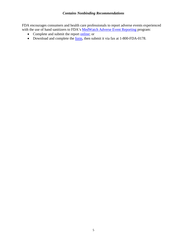## *Contains Nonbinding Recommendations*

FDA encourages consumers and health care professionals to report adverse events experienced with the use of hand sanitizers to FDA's [MedWatch Adverse Event Reporting](https://www.fda.gov/safety/medwatch-fda-safety-information-and-adverse-event-reporting-program) program:

- Complete and submit the report [online;](https://www.accessdata.fda.gov/scripts/medwatch/index.cfm?action=professional.reporting1) or
- Download and complete the <u>form</u>, then submit it via fax at 1-800-FDA-0178.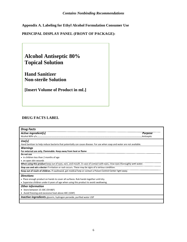**Appendix A. Labeling for Ethyl Alcohol Formulation Consumer Use**

**PRINCIPAL DISPLAY PANEL (FRONT OF PACKAGE):**



# **DRUG FACTS LABEL**

| <b>Drug Facts</b>                                                                                                          |  |  |
|----------------------------------------------------------------------------------------------------------------------------|--|--|
| Active ingredient[s]<br><b>Purpose</b>                                                                                     |  |  |
| .Antiseptic                                                                                                                |  |  |
| Use[s]                                                                                                                     |  |  |
| Hand Sanitizer to help reduce bacteria that potentially can cause disease. For use when soap and water are not available.  |  |  |
| Warnings                                                                                                                   |  |  |
| For external use only. Flammable. Keep away from heat or flame                                                             |  |  |
| Do not use                                                                                                                 |  |  |
| • in children less than 2 months of age                                                                                    |  |  |
| • on open skin wounds                                                                                                      |  |  |
| When using this product keep out of eyes, ears, and mouth. In case of contact with eyes, rinse eyes thoroughly with water. |  |  |
| Stop use and ask a doctor if irritation or rash occurs. These may be signs of a serious condition.                         |  |  |
| Keep out of reach of children. If swallowed, get medical help or contact a Poison Control Center right away.               |  |  |
| <b>Directions</b>                                                                                                          |  |  |
| . Place enough product on hands to cover all surfaces. Rub hands together until dry.                                       |  |  |
| • Supervise children under 6 years of age when using this product to avoid swallowing.                                     |  |  |
| <b>Other information</b>                                                                                                   |  |  |
| • Store between 15-30C (59-86F)                                                                                            |  |  |
| • Avoid freezing and excessive heat above 40C (104F)                                                                       |  |  |
| <b>Inactive ingredients</b> glycerin, hydrogen peroxide, purified water USP                                                |  |  |
|                                                                                                                            |  |  |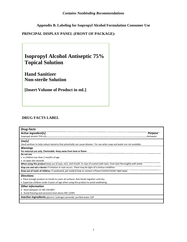**Appendix B. Labeling for Isopropyl Alcohol Formulation Consumer Use**

٦

**PRINCIPAL DISPLAY PANEL (FRONT OF PACKAGE):**

| <b>Isopropyl Alcohol Antiseptic 75%</b><br><b>Topical Solution</b> |  |
|--------------------------------------------------------------------|--|
| <b>Hand Sanitizer</b><br><b>Non-sterile Solution</b>               |  |
| [Insert Volume of Product in mL]                                   |  |

# **DRUG FACTS LABEL**

 $\Box$ 

| <b>Drug Facts</b>                                                                                                          |  |  |
|----------------------------------------------------------------------------------------------------------------------------|--|--|
| Active ingredient[s]<br><b>Purpose</b>                                                                                     |  |  |
|                                                                                                                            |  |  |
| Use[s]                                                                                                                     |  |  |
| Hand sanitizer to help reduce bacteria that potentially can cause disease. For use when soap and water are not available.  |  |  |
| <b>Warnings</b>                                                                                                            |  |  |
| For external use only. Flammable. Keep away from heat or flame                                                             |  |  |
| Do not use                                                                                                                 |  |  |
| • in children less than 2 months of age                                                                                    |  |  |
| • on open skin wounds                                                                                                      |  |  |
| When using this product keep out of eyes, ears, and mouth. In case of contact with eyes, rinse eyes thoroughly with water. |  |  |
| Stop use and ask a doctor if irritation or rash occurs. These may be signs of a serious condition.                         |  |  |
| Keep out of reach of children. If swallowed, get medical help or contact a Poison Control Center right away.               |  |  |
| <b>Directions</b>                                                                                                          |  |  |
| . Place enough product on hands to cover all surfaces. Rub hands together until dry.                                       |  |  |
| • Supervise children under 6 years of age when using this product to avoid swallowing.                                     |  |  |
| <b>Other information</b>                                                                                                   |  |  |
| • Store between 15-30C (59-86F)                                                                                            |  |  |
| • Avoid freezing and excessive heat above 40C (104F)                                                                       |  |  |
| Inactive ingredients glycerin, hydrogen peroxide, purified water USP                                                       |  |  |
|                                                                                                                            |  |  |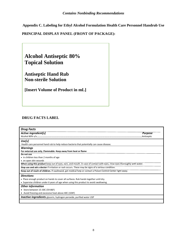**Appendix C. Labeling for Ethyl Alcohol Formulation Health Care Personnel Handrub Use**

**PRINCIPAL DISPLAY PANEL (FRONT OF PACKAGE):**



## **DRUG FACTS LABEL**

| <b>Drug Facts</b>                                                                                                          |  |  |
|----------------------------------------------------------------------------------------------------------------------------|--|--|
| Active ingredient[s]<br><b>Purpose</b>                                                                                     |  |  |
| .Antiseptic                                                                                                                |  |  |
| Use[s]                                                                                                                     |  |  |
| Health care personnel hand rub to help reduce bacteria that potentially can cause disease.                                 |  |  |
| <b>Warnings</b>                                                                                                            |  |  |
| For external use only. Flammable. Keep away from heat or flame                                                             |  |  |
| Do not use                                                                                                                 |  |  |
| • in children less than 2 months of age                                                                                    |  |  |
| • on open skin wounds                                                                                                      |  |  |
| When using this product keep out of eyes, ears, and mouth. In case of contact with eyes, rinse eyes thoroughly with water. |  |  |
| Stop use and ask a doctor if irritation or rash occurs. These may be signs of a serious condition.                         |  |  |
| Keep out of reach of children. If swallowed, get medical help or contact a Poison Control Center right away.               |  |  |
| <b>Directions</b>                                                                                                          |  |  |
| . Place enough product on hands to cover all surfaces. Rub hands together until dry.                                       |  |  |
| • Supervise children under 6 years of age when using this product to avoid swallowing.                                     |  |  |
| <b>Other information</b>                                                                                                   |  |  |
| • Store between 15-30C (59-86F)                                                                                            |  |  |
| • Avoid freezing and excessive heat above 40C (104F)                                                                       |  |  |
| <b>Inactive ingredients</b> glycerin, hydrogen peroxide, purified water USP                                                |  |  |
|                                                                                                                            |  |  |